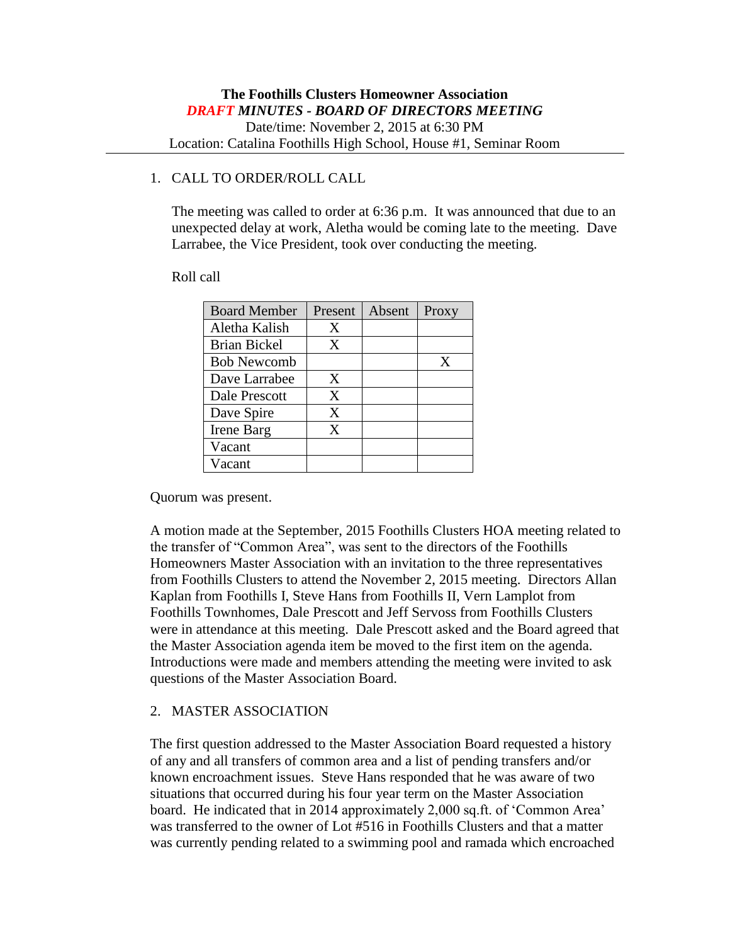### 1. CALL TO ORDER/ROLL CALL

The meeting was called to order at 6:36 p.m. It was announced that due to an unexpected delay at work, Aletha would be coming late to the meeting. Dave Larrabee, the Vice President, took over conducting the meeting.

#### Roll call

| <b>Board Member</b> | Present | Absent | Proxy |
|---------------------|---------|--------|-------|
| Aletha Kalish       | Χ       |        |       |
| <b>Brian Bickel</b> | Χ       |        |       |
| <b>Bob Newcomb</b>  |         |        | X     |
| Dave Larrabee       | X       |        |       |
| Dale Prescott       | X       |        |       |
| Dave Spire          | X       |        |       |
| Irene Barg          | X       |        |       |
| Vacant              |         |        |       |
| Vacant              |         |        |       |

Quorum was present.

A motion made at the September, 2015 Foothills Clusters HOA meeting related to the transfer of "Common Area", was sent to the directors of the Foothills Homeowners Master Association with an invitation to the three representatives from Foothills Clusters to attend the November 2, 2015 meeting. Directors Allan Kaplan from Foothills I, Steve Hans from Foothills II, Vern Lamplot from Foothills Townhomes, Dale Prescott and Jeff Servoss from Foothills Clusters were in attendance at this meeting. Dale Prescott asked and the Board agreed that the Master Association agenda item be moved to the first item on the agenda. Introductions were made and members attending the meeting were invited to ask questions of the Master Association Board.

#### 2. MASTER ASSOCIATION

The first question addressed to the Master Association Board requested a history of any and all transfers of common area and a list of pending transfers and/or known encroachment issues. Steve Hans responded that he was aware of two situations that occurred during his four year term on the Master Association board. He indicated that in 2014 approximately 2,000 sq.ft. of 'Common Area' was transferred to the owner of Lot #516 in Foothills Clusters and that a matter was currently pending related to a swimming pool and ramada which encroached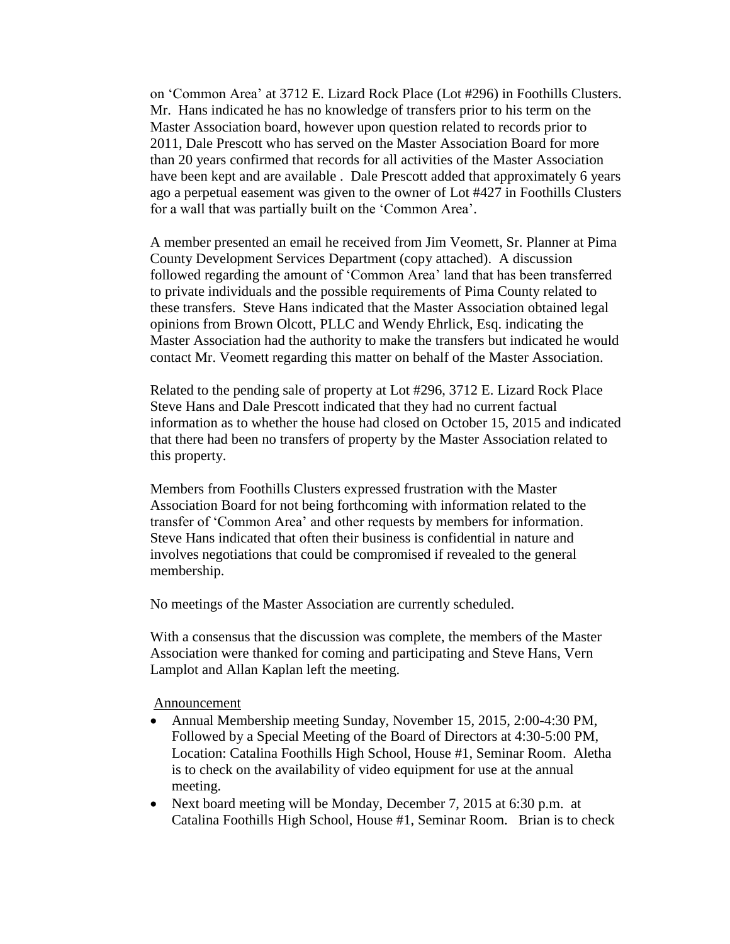on 'Common Area' at 3712 E. Lizard Rock Place (Lot #296) in Foothills Clusters. Mr. Hans indicated he has no knowledge of transfers prior to his term on the Master Association board, however upon question related to records prior to 2011, Dale Prescott who has served on the Master Association Board for more than 20 years confirmed that records for all activities of the Master Association have been kept and are available . Dale Prescott added that approximately 6 years ago a perpetual easement was given to the owner of Lot #427 in Foothills Clusters for a wall that was partially built on the 'Common Area'.

A member presented an email he received from Jim Veomett, Sr. Planner at Pima County Development Services Department (copy attached). A discussion followed regarding the amount of 'Common Area' land that has been transferred to private individuals and the possible requirements of Pima County related to these transfers. Steve Hans indicated that the Master Association obtained legal opinions from Brown Olcott, PLLC and Wendy Ehrlick, Esq. indicating the Master Association had the authority to make the transfers but indicated he would contact Mr. Veomett regarding this matter on behalf of the Master Association.

Related to the pending sale of property at Lot #296, 3712 E. Lizard Rock Place Steve Hans and Dale Prescott indicated that they had no current factual information as to whether the house had closed on October 15, 2015 and indicated that there had been no transfers of property by the Master Association related to this property.

Members from Foothills Clusters expressed frustration with the Master Association Board for not being forthcoming with information related to the transfer of 'Common Area' and other requests by members for information. Steve Hans indicated that often their business is confidential in nature and involves negotiations that could be compromised if revealed to the general membership.

No meetings of the Master Association are currently scheduled.

With a consensus that the discussion was complete, the members of the Master Association were thanked for coming and participating and Steve Hans, Vern Lamplot and Allan Kaplan left the meeting.

Announcement

- Annual Membership meeting Sunday, November 15, 2015, 2:00-4:30 PM, Followed by a Special Meeting of the Board of Directors at 4:30-5:00 PM, Location: Catalina Foothills High School, House #1, Seminar Room. Aletha is to check on the availability of video equipment for use at the annual meeting.
- Next board meeting will be Monday, December 7, 2015 at 6:30 p.m. at Catalina Foothills High School, House #1, Seminar Room. Brian is to check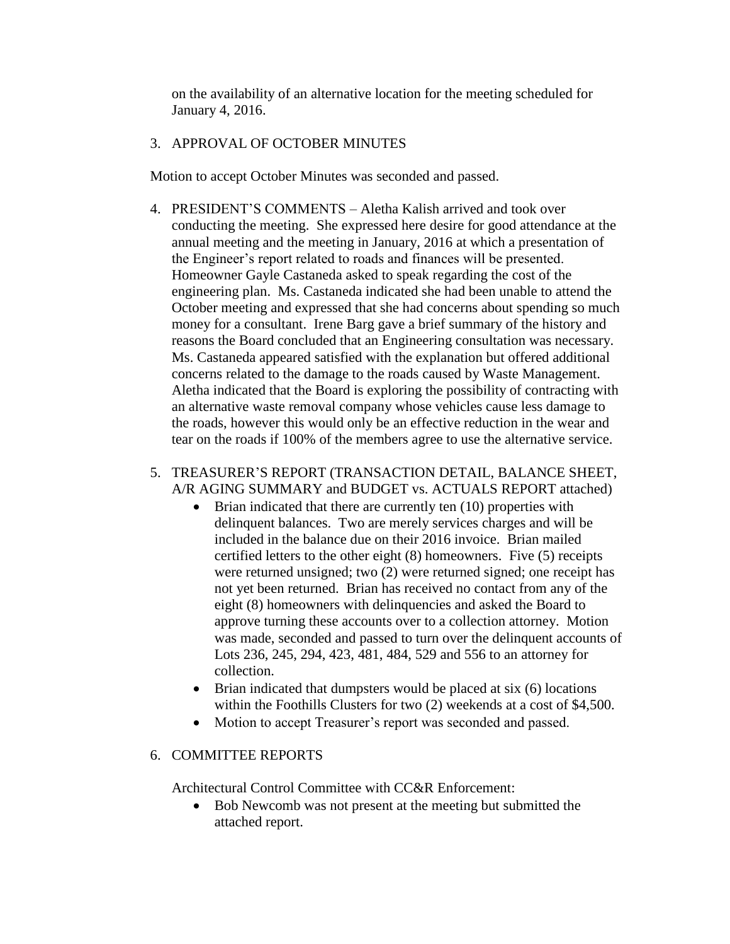on the availability of an alternative location for the meeting scheduled for January 4, 2016.

## 3. APPROVAL OF OCTOBER MINUTES

Motion to accept October Minutes was seconded and passed.

4. PRESIDENT'S COMMENTS – Aletha Kalish arrived and took over conducting the meeting. She expressed here desire for good attendance at the annual meeting and the meeting in January, 2016 at which a presentation of the Engineer's report related to roads and finances will be presented. Homeowner Gayle Castaneda asked to speak regarding the cost of the engineering plan. Ms. Castaneda indicated she had been unable to attend the October meeting and expressed that she had concerns about spending so much money for a consultant. Irene Barg gave a brief summary of the history and reasons the Board concluded that an Engineering consultation was necessary. Ms. Castaneda appeared satisfied with the explanation but offered additional concerns related to the damage to the roads caused by Waste Management. Aletha indicated that the Board is exploring the possibility of contracting with an alternative waste removal company whose vehicles cause less damage to the roads, however this would only be an effective reduction in the wear and tear on the roads if 100% of the members agree to use the alternative service.

### 5. TREASURER'S REPORT (TRANSACTION DETAIL, BALANCE SHEET, A/R AGING SUMMARY and BUDGET vs. ACTUALS REPORT attached)

- $\bullet$  Brian indicated that there are currently ten (10) properties with delinquent balances. Two are merely services charges and will be included in the balance due on their 2016 invoice. Brian mailed certified letters to the other eight (8) homeowners. Five (5) receipts were returned unsigned; two (2) were returned signed; one receipt has not yet been returned. Brian has received no contact from any of the eight (8) homeowners with delinquencies and asked the Board to approve turning these accounts over to a collection attorney. Motion was made, seconded and passed to turn over the delinquent accounts of Lots 236, 245, 294, 423, 481, 484, 529 and 556 to an attorney for collection.
- $\bullet$  Brian indicated that dumpsters would be placed at six (6) locations within the Foothills Clusters for two (2) weekends at a cost of \$4,500.
- Motion to accept Treasurer's report was seconded and passed.

# 6. COMMITTEE REPORTS

Architectural Control Committee with CC&R Enforcement:

 Bob Newcomb was not present at the meeting but submitted the attached report.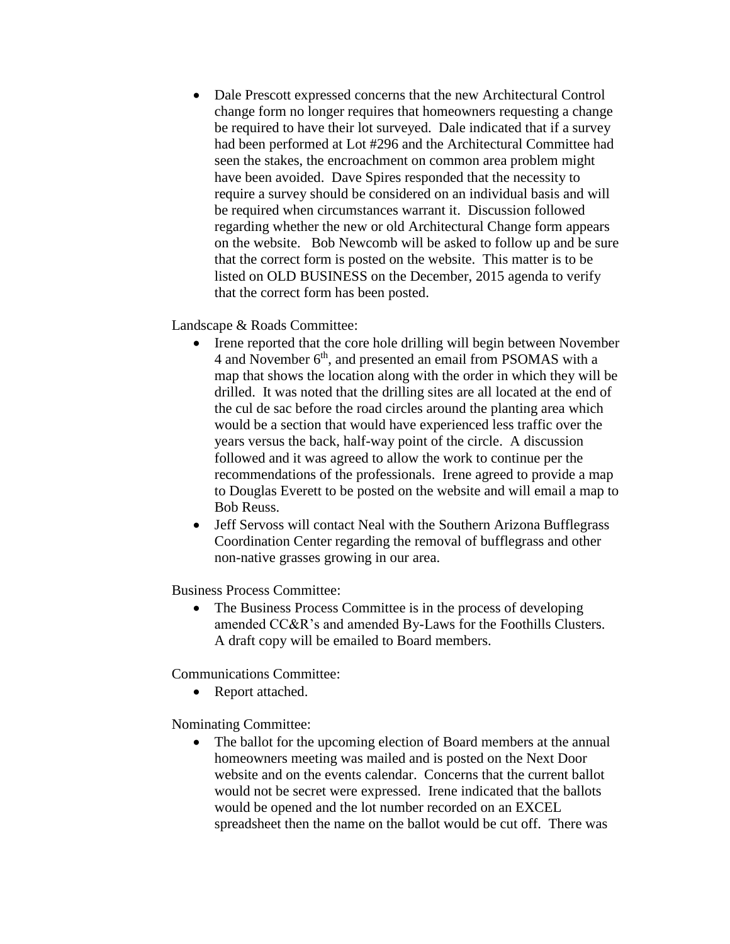Dale Prescott expressed concerns that the new Architectural Control change form no longer requires that homeowners requesting a change be required to have their lot surveyed. Dale indicated that if a survey had been performed at Lot #296 and the Architectural Committee had seen the stakes, the encroachment on common area problem might have been avoided. Dave Spires responded that the necessity to require a survey should be considered on an individual basis and will be required when circumstances warrant it. Discussion followed regarding whether the new or old Architectural Change form appears on the website. Bob Newcomb will be asked to follow up and be sure that the correct form is posted on the website. This matter is to be listed on OLD BUSINESS on the December, 2015 agenda to verify that the correct form has been posted.

Landscape & Roads Committee:

- Irene reported that the core hole drilling will begin between November 4 and November  $6<sup>th</sup>$ , and presented an email from PSOMAS with a map that shows the location along with the order in which they will be drilled. It was noted that the drilling sites are all located at the end of the cul de sac before the road circles around the planting area which would be a section that would have experienced less traffic over the years versus the back, half-way point of the circle. A discussion followed and it was agreed to allow the work to continue per the recommendations of the professionals. Irene agreed to provide a map to Douglas Everett to be posted on the website and will email a map to Bob Reuss.
- Jeff Servoss will contact Neal with the Southern Arizona Bufflegrass Coordination Center regarding the removal of bufflegrass and other non-native grasses growing in our area.

Business Process Committee:

 The Business Process Committee is in the process of developing amended CC&R's and amended By-Laws for the Foothills Clusters. A draft copy will be emailed to Board members.

Communications Committee:

• Report attached.

Nominating Committee:

 The ballot for the upcoming election of Board members at the annual homeowners meeting was mailed and is posted on the Next Door website and on the events calendar. Concerns that the current ballot would not be secret were expressed. Irene indicated that the ballots would be opened and the lot number recorded on an EXCEL spreadsheet then the name on the ballot would be cut off. There was